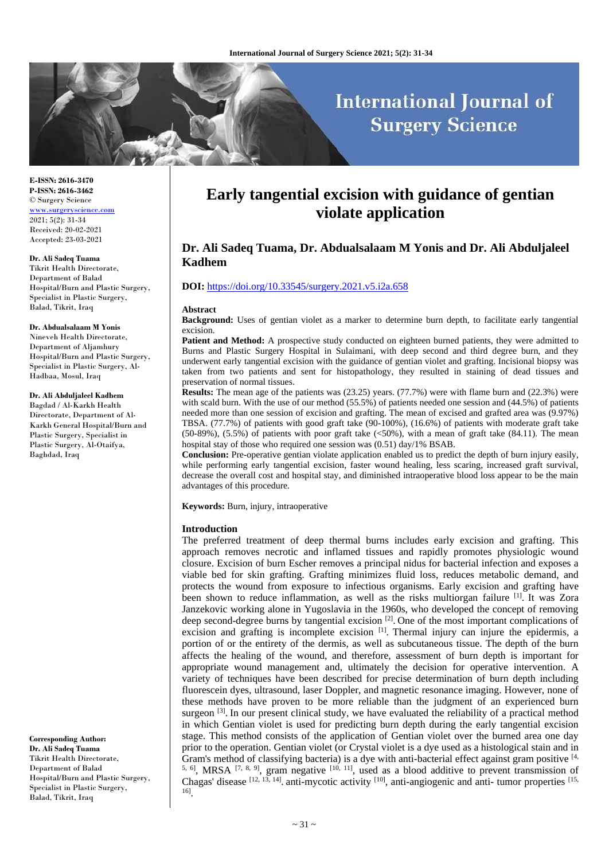# **International Journal of Surgery Science**

**E-ISSN: 2616-3470 P-ISSN: 2616-3462** © Surgery Science [www.surgeryscience.com](http://www.surgeryscience.com/) 2021; 5(2): 31-34 Received: 20-02-2021 Accepted: 23-03-2021

**Dr. Ali Sadeq Tuama** Tikrit Health Directorate, Department of Balad Hospital/Burn and Plastic Surgery, Specialist in Plastic Surgery,

#### **Dr. Abdualsalaam M Yonis**

Balad, Tikrit, Iraq

Nineveh Health Directorate, Department of Aljamhury Hospital/Burn and Plastic Surgery, Specialist in Plastic Surgery, Al-Hadbaa, Mosul, Iraq

**Dr. Ali Abduljaleel Kadhem** Bagdad / Al-Karkh Health Directorate, Department of Al-Karkh General Hospital/Burn and Plastic Surgery, Specialist in Plastic Surgery, Al-Otaifya, Baghdad, Iraq

**Corresponding Author: Dr. Ali Sadeq Tuama** Tikrit Health Directorate, Department of Balad Hospital/Burn and Plastic Surgery, Specialist in Plastic Surgery, Balad, Tikrit, Iraq

## **Early tangential excision with guidance of gentian violate application**

## **Dr. Ali Sadeq Tuama, Dr. Abdualsalaam M Yonis and Dr. Ali Abduljaleel Kadhem**

#### **DOI:** <https://doi.org/10.33545/surgery.2021.v5.i2a.658>

#### **Abstract**

**Background:** Uses of gentian violet as a marker to determine burn depth, to facilitate early tangential excision.

Patient and Method: A prospective study conducted on eighteen burned patients, they were admitted to Burns and Plastic Surgery Hospital in Sulaimani, with deep second and third degree burn, and they underwent early tangential excision with the guidance of gentian violet and grafting. Incisional biopsy was taken from two patients and sent for histopathology, they resulted in staining of dead tissues and preservation of normal tissues.

**Results:** The mean age of the patients was (23.25) years. (77.7%) were with flame burn and (22.3%) were with scald burn. With the use of our method (55.5%) of patients needed one session and (44.5%) of patients needed more than one session of excision and grafting. The mean of excised and grafted area was (9.97%) TBSA. (77.7%) of patients with good graft take (90-100%), (16.6%) of patients with moderate graft take  $(50-89\%)$ ,  $(5.5\%)$  of patients with poor graft take  $(\leq 50\%)$ , with a mean of graft take  $(84.11)$ . The mean hospital stay of those who required one session was (0.51) day/1% BSAB.

**Conclusion:** Pre-operative gentian violate application enabled us to predict the depth of burn injury easily, while performing early tangential excision, faster wound healing, less scaring, increased graft survival, decrease the overall cost and hospital stay, and diminished intraoperative blood loss appear to be the main advantages of this procedure.

**Keywords:** Burn, injury, intraoperative

#### **Introduction**

The preferred treatment of deep thermal burns includes early excision and grafting. This approach removes necrotic and inflamed tissues and rapidly promotes physiologic wound closure. Excision of burn Escher removes a principal nidus for bacterial infection and exposes a viable bed for skin grafting. Grafting minimizes fluid loss, reduces metabolic demand, and protects the wound from exposure to infectious organisms. Early excision and grafting have been shown to reduce inflammation, as well as the risks multiorgan failure [1]. It was Zora Janzekovic working alone in Yugoslavia in the 1960s, who developed the concept of removing deep second-degree burns by tangential excision  $[2]$ . One of the most important complications of excision and grafting is incomplete excision  $[1]$ . Thermal injury can injure the epidermis, a portion of or the entirety of the dermis, as well as subcutaneous tissue. The depth of the burn affects the healing of the wound, and therefore, assessment of burn depth is important for appropriate wound management and, ultimately the decision for operative intervention. A variety of techniques have been described for precise determination of burn depth including fluorescein dyes, ultrasound, laser Doppler, and magnetic resonance imaging. However, none of these methods have proven to be more reliable than the judgment of an experienced burn surgeon <sup>[3]</sup>. In our present clinical study, we have evaluated the reliability of a practical method in which Gentian violet is used for predicting burn depth during the early tangential excision stage. This method consists of the application of Gentian violet over the burned area one day prior to the operation. Gentian violet (or Crystal violet is a dye used as a histological stain and in Gram's method of classifying bacteria) is a dye with anti-bacterial effect against gram positive [4, <sup>5, 6]</sup>, MRSA  $[7, 8, 9]$ , gram negative  $[10, 11]$ , used as a blood additive to prevent transmission of Chagas' disease  $[12, 13, 14]$ . anti-mycotic activity  $[10]$ , anti-angiogenic and anti- tumor properties  $[15, 13]$ 16] .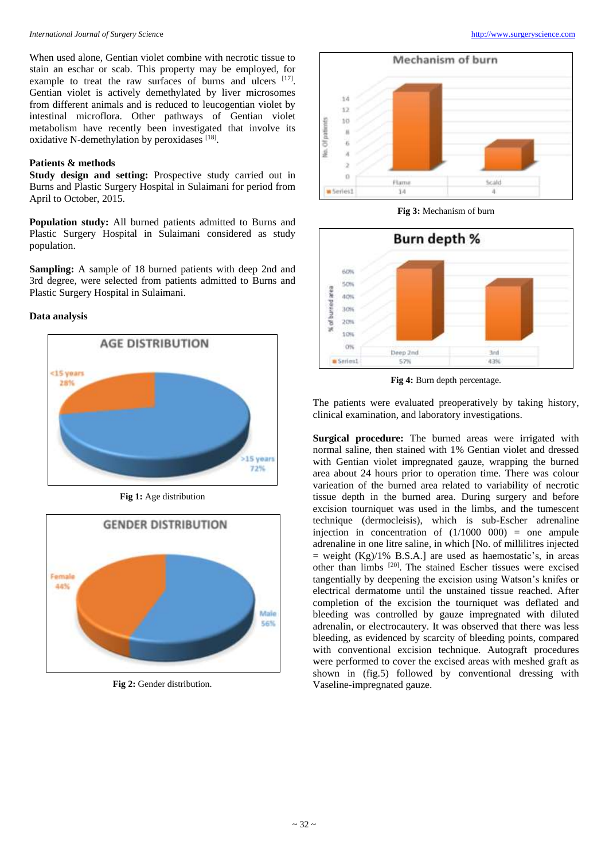When used alone, Gentian violet combine with necrotic tissue to stain an eschar or scab. This property may be employed, for example to treat the raw surfaces of burns and ulcers [17]. Gentian violet is actively demethylated by liver microsomes from different animals and is reduced to leucogentian violet by intestinal microflora. Other pathways of Gentian violet metabolism have recently been investigated that involve its oxidative N-demethylation by peroxidases [18].

## **Patients & methods**

**Study design and setting:** Prospective study carried out in Burns and Plastic Surgery Hospital in Sulaimani for period from April to October, 2015.

**Population study:** All burned patients admitted to Burns and Plastic Surgery Hospital in Sulaimani considered as study population.

**Sampling:** A sample of 18 burned patients with deep 2nd and 3rd degree, were selected from patients admitted to Burns and Plastic Surgery Hospital in Sulaimani.

## **Data analysis**



**Fig 1:** Age distribution



**Fig 2:** Gender distribution.



**Fig 3:** Mechanism of burn



**Fig 4:** Burn depth percentage.

The patients were evaluated preoperatively by taking history, clinical examination, and laboratory investigations.

**Surgical procedure:** The burned areas were irrigated with normal saline, then stained with 1% Gentian violet and dressed with Gentian violet impregnated gauze, wrapping the burned area about 24 hours prior to operation time. There was colour varieation of the burned area related to variability of necrotic tissue depth in the burned area. During surgery and before excision tourniquet was used in the limbs, and the tumescent technique (dermocleisis), which is sub-Escher adrenaline injection in concentration of  $(1/1000 000)$  = one ampule adrenaline in one litre saline, in which [No. of millilitres injected  $=$  weight (Kg)/1% B.S.A.] are used as haemostatic's, in areas other than limbs [20] . The stained Escher tissues were excised tangentially by deepening the excision using Watson's knifes or electrical dermatome until the unstained tissue reached. After completion of the excision the tourniquet was deflated and bleeding was controlled by gauze impregnated with diluted adrenalin, or electrocautery. It was observed that there was less bleeding, as evidenced by scarcity of bleeding points, compared with conventional excision technique. Autograft procedures were performed to cover the excised areas with meshed graft as shown in (fig.5) followed by conventional dressing with Vaseline-impregnated gauze.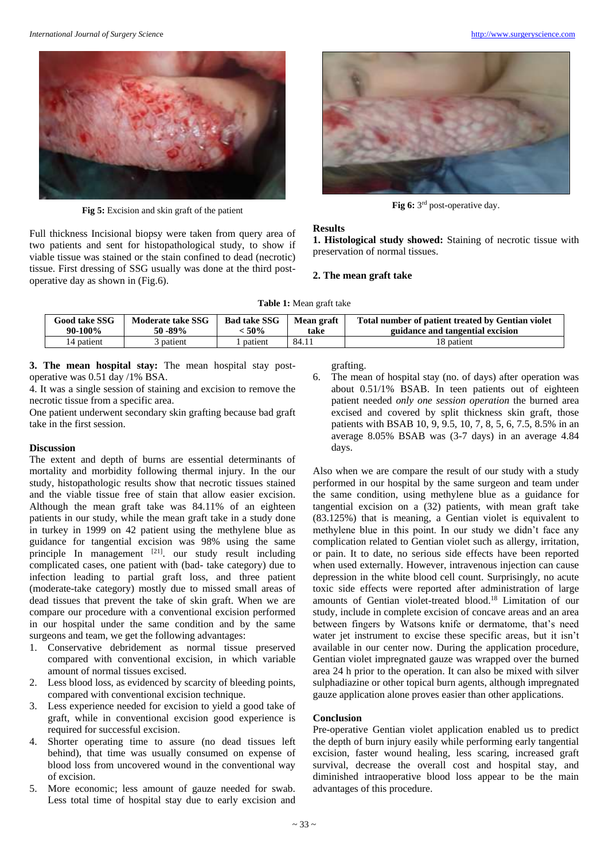

**Fig 5:** Excision and skin graft of the patient

Full thickness Incisional biopsy were taken from query area of two patients and sent for histopathological study, to show if viable tissue was stained or the stain confined to dead (necrotic) tissue. First dressing of SSG usually was done at the third postoperative day as shown in (Fig.6).



Fig 6: 3<sup>rd</sup> post-operative day.

#### **Results**

**1. Histological study showed:** Staining of necrotic tissue with preservation of normal tissues.

#### **2. The mean graft take**

**Table 1:** Mean graft take

| <b>Good take SSG</b> | Moderate take SSG | <b>Bad take SSG</b> | <b>Mean graft</b> | Total number of patient treated by Gentian violet |
|----------------------|-------------------|---------------------|-------------------|---------------------------------------------------|
| 90-100%              | 50 - 89%          | : 50%               | take              | guidance and tangential excision                  |
| 4 patient            | patient           | patient             | 84.1              | 18 patient                                        |

**3. The mean hospital stay:** The mean hospital stay postoperative was 0.51 day /1% BSA.

4. It was a single session of staining and excision to remove the necrotic tissue from a specific area.

One patient underwent secondary skin grafting because bad graft take in the first session.

## **Discussion**

The extent and depth of burns are essential determinants of mortality and morbidity following thermal injury. In the our study, histopathologic results show that necrotic tissues stained and the viable tissue free of stain that allow easier excision. Although the mean graft take was 84.11% of an eighteen patients in our study, while the mean graft take in a study done in turkey in 1999 on 42 patient using the methylene blue as guidance for tangential excision was 98% using the same principle In management  $[21]$  our study result including complicated cases, one patient with (bad- take category) due to infection leading to partial graft loss, and three patient (moderate-take category) mostly due to missed small areas of dead tissues that prevent the take of skin graft. When we are compare our procedure with a conventional excision performed in our hospital under the same condition and by the same surgeons and team, we get the following advantages:

- 1. Conservative debridement as normal tissue preserved compared with conventional excision, in which variable amount of normal tissues excised.
- 2. Less blood loss, as evidenced by scarcity of bleeding points, compared with conventional excision technique.
- 3. Less experience needed for excision to yield a good take of graft, while in conventional excision good experience is required for successful excision.
- 4. Shorter operating time to assure (no dead tissues left behind), that time was usually consumed on expense of blood loss from uncovered wound in the conventional way of excision.
- 5. More economic; less amount of gauze needed for swab. Less total time of hospital stay due to early excision and

grafting.

6. The mean of hospital stay (no. of days) after operation was about 0.51/1% BSAB. In teen patients out of eighteen patient needed *only one session operation* the burned area excised and covered by split thickness skin graft, those patients with BSAB 10, 9, 9.5, 10, 7, 8, 5, 6, 7.5, 8.5% in an average 8.05% BSAB was (3-7 days) in an average 4.84 days.

Also when we are compare the result of our study with a study performed in our hospital by the same surgeon and team under the same condition, using methylene blue as a guidance for tangential excision on a (32) patients, with mean graft take (83.125%) that is meaning, a Gentian violet is equivalent to methylene blue in this point. In our study we didn't face any complication related to Gentian violet such as allergy, irritation, or pain. It to date, no serious side effects have been reported when used externally. However, intravenous injection can cause depression in the white blood cell count. Surprisingly, no acute toxic side effects were reported after administration of large amounts of Gentian violet-treated blood.<sup>18</sup> Limitation of our study, include in complete excision of concave areas and an area between fingers by Watsons knife or dermatome, that's need water jet instrument to excise these specific areas, but it isn't available in our center now. During the application procedure, Gentian violet impregnated gauze was wrapped over the burned area 24 h prior to the operation. It can also be mixed with silver sulphadiazine or other topical burn agents, although impregnated gauze application alone proves easier than other applications.

#### **Conclusion**

Pre-operative Gentian violet application enabled us to predict the depth of burn injury easily while performing early tangential excision, faster wound healing, less scaring, increased graft survival, decrease the overall cost and hospital stay, and diminished intraoperative blood loss appear to be the main advantages of this procedure.